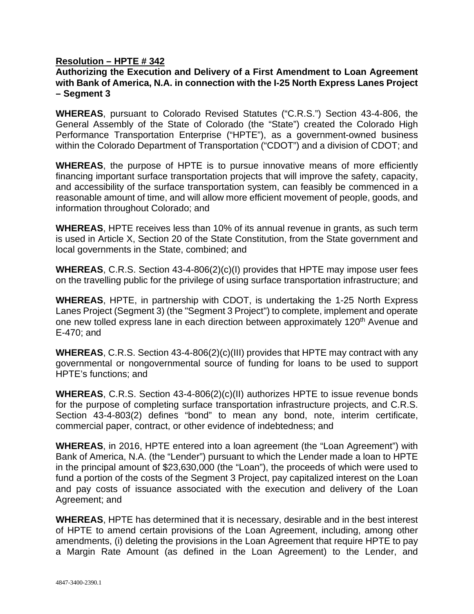## **Resolution – HPTE # 342**

## **Authorizing the Execution and Delivery of a First Amendment to Loan Agreement with Bank of America, N.A. in connection with the I-25 North Express Lanes Project – Segment 3**

**WHEREAS**, pursuant to Colorado Revised Statutes ("C.R.S.") Section 43-4-806, the General Assembly of the State of Colorado (the "State") created the Colorado High Performance Transportation Enterprise ("HPTE"), as a government-owned business within the Colorado Department of Transportation ("CDOT") and a division of CDOT; and

**WHEREAS**, the purpose of HPTE is to pursue innovative means of more efficiently financing important surface transportation projects that will improve the safety, capacity, and accessibility of the surface transportation system, can feasibly be commenced in a reasonable amount of time, and will allow more efficient movement of people, goods, and information throughout Colorado; and

**WHEREAS**, HPTE receives less than 10% of its annual revenue in grants, as such term is used in Article X, Section 20 of the State Constitution, from the State government and local governments in the State, combined; and

**WHEREAS**, C.R.S. Section 43-4-806(2)(c)(I) provides that HPTE may impose user fees on the travelling public for the privilege of using surface transportation infrastructure; and

**WHEREAS**, HPTE, in partnership with CDOT, is undertaking the 1-25 North Express Lanes Project (Segment 3) (the "Segment 3 Project") to complete, implement and operate one new tolled express lane in each direction between approximately 120<sup>th</sup> Avenue and E-470; and

**WHEREAS**, C.R.S. Section 43-4-806(2)(c)(III) provides that HPTE may contract with any governmental or nongovernmental source of funding for loans to be used to support HPTE's functions; and

**WHEREAS**, C.R.S. Section 43-4-806(2)(c)(II) authorizes HPTE to issue revenue bonds for the purpose of completing surface transportation infrastructure projects, and C.R.S. Section 43-4-803(2) defines "bond" to mean any bond, note, interim certificate, commercial paper, contract, or other evidence of indebtedness; and

**WHEREAS**, in 2016, HPTE entered into a loan agreement (the "Loan Agreement") with Bank of America, N.A. (the "Lender") pursuant to which the Lender made a loan to HPTE in the principal amount of \$23,630,000 (the "Loan"), the proceeds of which were used to fund a portion of the costs of the Segment 3 Project, pay capitalized interest on the Loan and pay costs of issuance associated with the execution and delivery of the Loan Agreement; and

**WHEREAS**, HPTE has determined that it is necessary, desirable and in the best interest of HPTE to amend certain provisions of the Loan Agreement, including, among other amendments, (i) deleting the provisions in the Loan Agreement that require HPTE to pay a Margin Rate Amount (as defined in the Loan Agreement) to the Lender, and